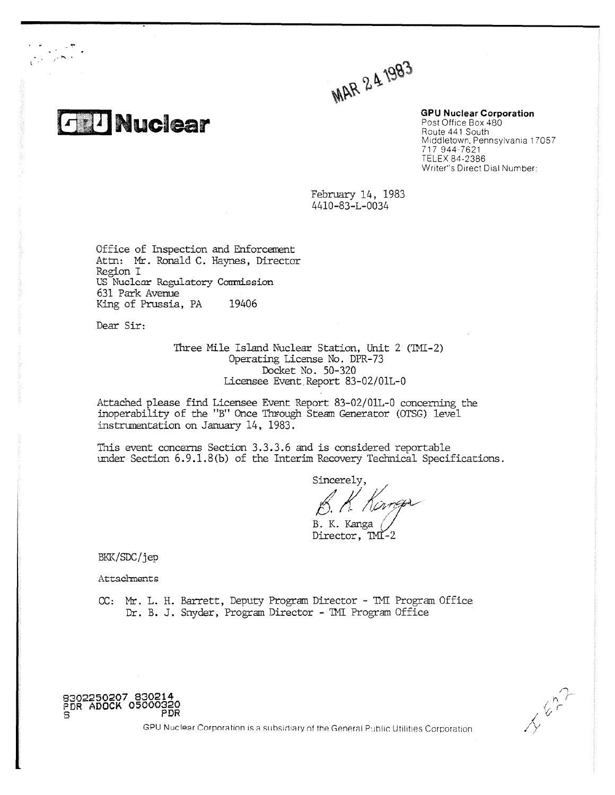

 $\frac{1}{\sqrt{2\pi}}\sum_{i=1}^{N}\frac{1}{i} \frac{d^{2}i}{dx^{2}}$ 

MAR 241983

**GPU Nuclear Corporation** Post Office Box 480 Route 441 South Middletown, Pennsylvania 17057 717 944-7621 TELEX 84-2386 Writer"s Direct Dial Number:

February 14, 1983 4410-83-L-0034

Office of Inspection and Enforcement Attn: Mr. Ronald C. Haynes, Director Region I US Nuclear Regulatory Commission 631 Park Avenue King of Prussia, PA 19406

Dear Sir:

Three Mile Island Nuclear Station, Unit 2 (TMI-2) Operating License No. DPR-73 Docket No. 50-320 Licensee Event.Report 83-02/01L-0

Attached please find Licensee Event Report 83-02/01L-0 concerning the inoperability of the "B" Once Through Steam Generator (OTSG) level instrumentation on January 14, 1983.

This event concerns Section 3.3.3.6 and is considered reportable under Section 6.9.1.8(b) of the Interim Recovery Technical Specifications.

Sincerely. B. K. Kanga

Director, TMI-2

BKK/SDC/jep

**Attachments** 

**8302250207 830214 PDR ADOCK 05000320 8 PDR**

CC: Mr. L. H. Barrett, Deputy Program Director - TMI Program Office Dr. B. J. Snyder, Program Director - TMI Program Office



GPU Nuclear Corporation is a subsidiary of the General Public Utilities Corporation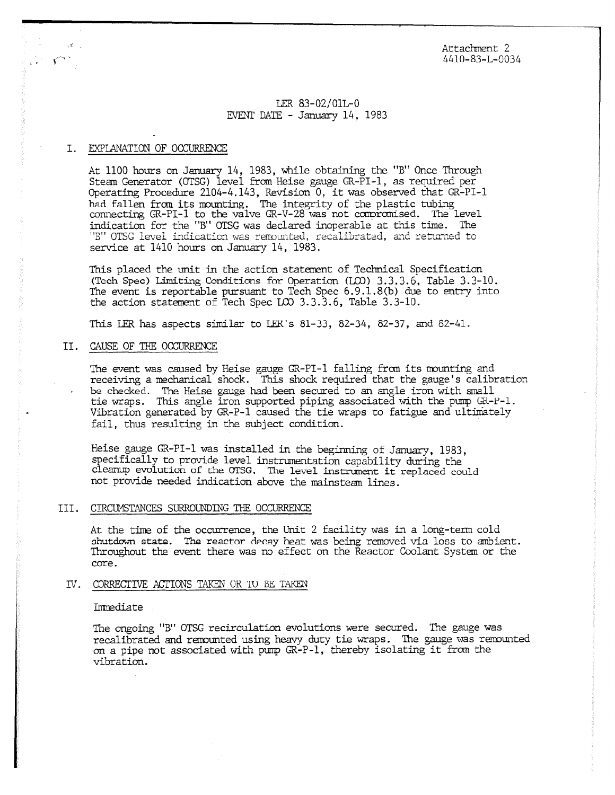Attachment 2 4410-83-L-0034

## LER 83-02/01L-0 EVENT DATE - January 14, 1983

## I. EXPLANATION OF OCCURRENCE

 $\mathcal{L} \subset \mathcal{L}$ 

ت

At 1100 hours on January 14, 1983, while obtaining the "B" Once Through Steam Generator (OTSG) level from Heise gauge GR-PI-1, as required per Operating Procedure 2104-4.143, Revision 0, it was observed that GR-PI-1 had fallen from its mounting. The integrity of the plastic tubing connecting GR-PI-1 to the valve GR-V-28 was not compromised. The level indication for the "B" OTSG was declared inoperable at this time. The "B" OTSG level indication was remounted, recalibrated, and returned to service at 1410 hours on January 14, 1983.

This placed the unit in the action statement of Technical Specification (Tech Spec) Limiting Conditions for Operation (LOD) 3.3.3.6, Table 3.3-10. The event is reportable pursuant to Tech Spec 6.9.1.8(b) due to entry into the action statement of Tech Spec LO 3.3.3.6, Table 3.3-10.

This LER has aspects similar to LER's  $81-33$ ,  $82-34$ ,  $82-37$ , and  $82-41$ .

# II. CAUSE OF THE OCCURRENCE

The event was caused by Heise gauge GR-PI-1 falling from its mounting and receiving a mechanical shock. This shock required that the gauge's calibration • be checked. The Heise gauge had been secured to an angle iron with small tie wraps. This angle iron supported piping associated with the pump GR-F-1. Vibration generated by GR-P-1 caused the tie wraps to fatigue and ultimately fail, thus resulting in the subject condition.

Heise gauge CR-PI-1 was installed in the beginning of January, 1983, specifically to provide level instrumentation capability during the cleanup evolution of the OTSG. The level instrument it replaced could not provide needed indication above the mainsteam lines.

## III. CIRCUMSTANCES SURROUNDING THE OCCURRENCE

At the time of the occurrence, the Unit 2 facility was in a long-term cold chutdcwn state. The reactor decay heat was being removed via loss to ambient. Throughout the event there was no effect on the Reactor Coolant System or the core.

#### IV. CORRECTIVE ACTIONS TAKEN UR

#### Immediate

The ongoing "B" OTSG recirculation evolutions were secured. The gauge was recalibrated and remounted using heavy duty tie wraps. The gauge was remounted on a pipe not associated with pump GR-P-1, thereby isolating it from the vibration.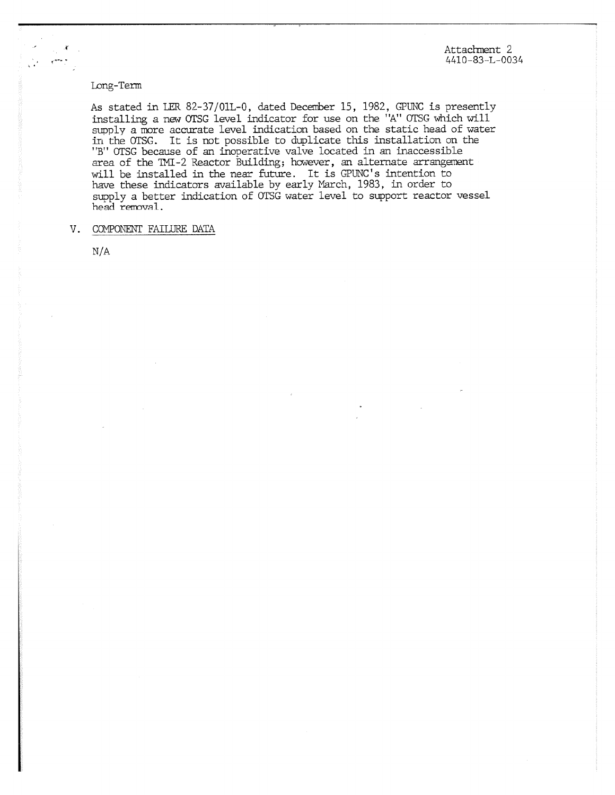Attachment 2 4410-83-L-0034

## Long-Term

 $\mathcal{L}^{\mathcal{A}}$ 

*As* stated in LER 82-37/01L-0, dated December 15, 1982, GPUNC is presently installing a new OTSG level indicator for use on the "A" OTSG which will supply a more accurate level indication based on the static head of water in the OTSG. It is not possible to duplicate this installation on the "B" OTSG because of an inoperative valve located in an inaccessible area of the TMI-2 Reactor Building; however, an alternate arrangement will be installed in the near future. It is GPUNC's intention to have these indicators available by early MArch, 1983, in order to supply a better indication of OTSG water level to support reactor vessel head removal\_

## V. COMPONENT FAILURE DATA

N/A